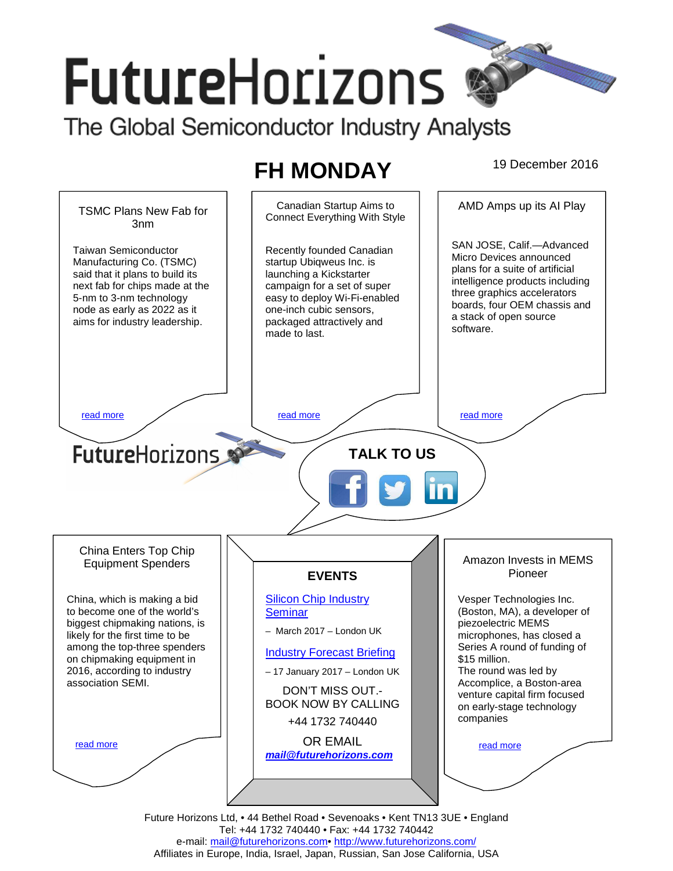# **FutureHorizons**

The Global Semiconductor Industry Analysts

## **FH MONDAY** 19 December 2016



Tel: +44 1732 740440 • Fax: +44 1732 740442 e-mail: mail@futurehorizons.com• http://www.futurehorizons.com/ Affiliates in Europe, India, Israel, Japan, Russian, San Jose California, USA